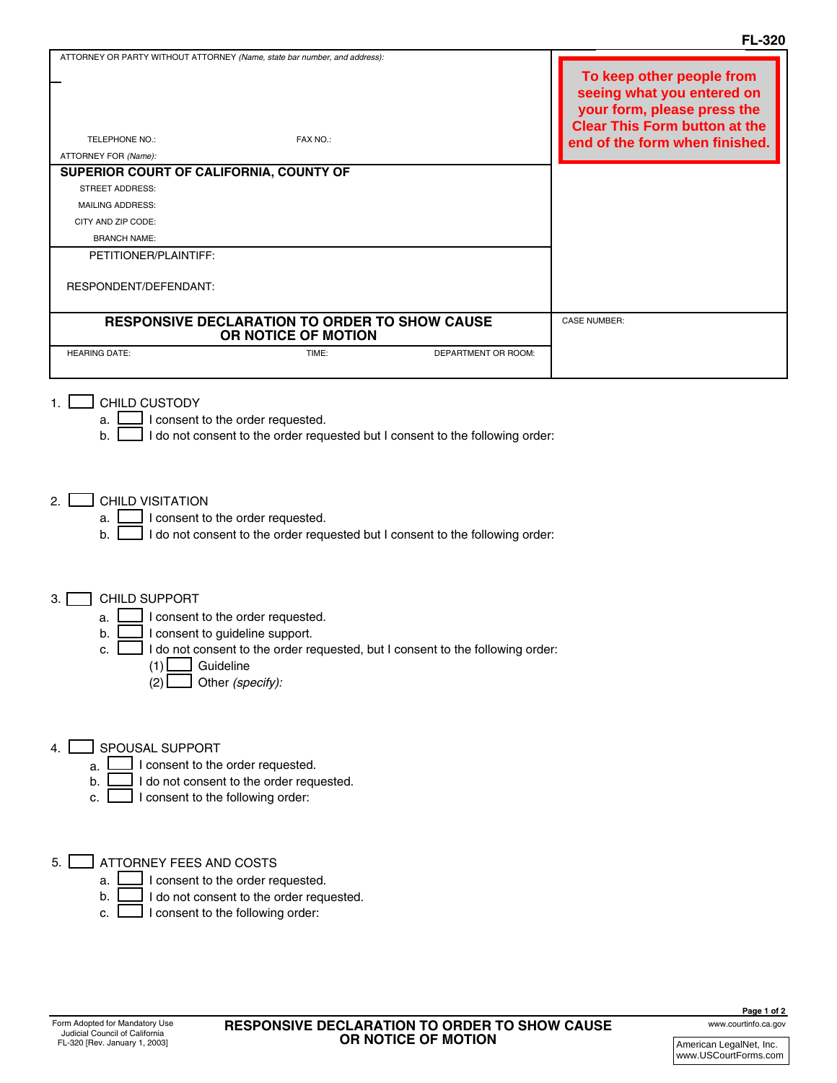|                                                                                                                                                                                                                                                                                                                                                                                                                                                                                                                                                                         | <b>FL-320</b>                                                                                                                  |  |
|-------------------------------------------------------------------------------------------------------------------------------------------------------------------------------------------------------------------------------------------------------------------------------------------------------------------------------------------------------------------------------------------------------------------------------------------------------------------------------------------------------------------------------------------------------------------------|--------------------------------------------------------------------------------------------------------------------------------|--|
| ATTORNEY OR PARTY WITHOUT ATTORNEY (Name, state bar number, and address):                                                                                                                                                                                                                                                                                                                                                                                                                                                                                               | To keep other people from<br>seeing what you entered on<br>your form, please press the<br><b>Clear This Form button at the</b> |  |
| TELEPHONE NO.:<br>FAX NO.:                                                                                                                                                                                                                                                                                                                                                                                                                                                                                                                                              | end of the form when finished.                                                                                                 |  |
| ATTORNEY FOR (Name):                                                                                                                                                                                                                                                                                                                                                                                                                                                                                                                                                    |                                                                                                                                |  |
| SUPERIOR COURT OF CALIFORNIA, COUNTY OF                                                                                                                                                                                                                                                                                                                                                                                                                                                                                                                                 |                                                                                                                                |  |
| <b>STREET ADDRESS:</b>                                                                                                                                                                                                                                                                                                                                                                                                                                                                                                                                                  |                                                                                                                                |  |
| MAILING ADDRESS:                                                                                                                                                                                                                                                                                                                                                                                                                                                                                                                                                        |                                                                                                                                |  |
| CITY AND ZIP CODE:                                                                                                                                                                                                                                                                                                                                                                                                                                                                                                                                                      |                                                                                                                                |  |
| <b>BRANCH NAME:</b>                                                                                                                                                                                                                                                                                                                                                                                                                                                                                                                                                     |                                                                                                                                |  |
| PETITIONER/PLAINTIFF:                                                                                                                                                                                                                                                                                                                                                                                                                                                                                                                                                   |                                                                                                                                |  |
| RESPONDENT/DEFENDANT:                                                                                                                                                                                                                                                                                                                                                                                                                                                                                                                                                   |                                                                                                                                |  |
| RESPONSIVE DECLARATION TO ORDER TO SHOW CAUSE                                                                                                                                                                                                                                                                                                                                                                                                                                                                                                                           | <b>CASE NUMBER:</b>                                                                                                            |  |
| OR NOTICE OF MOTION<br><b>HEARING DATE:</b><br>TIME:<br>DEPARTMENT OR ROOM:                                                                                                                                                                                                                                                                                                                                                                                                                                                                                             |                                                                                                                                |  |
|                                                                                                                                                                                                                                                                                                                                                                                                                                                                                                                                                                         |                                                                                                                                |  |
| CHILD CUSTODY<br>I consent to the order requested.<br>a.<br>I do not consent to the order requested but I consent to the following order:<br>b.<br><b>CHILD VISITATION</b><br>2. $\Box$<br>I consent to the order requested.<br>a.<br>I do not consent to the order requested but I consent to the following order:<br>b.<br>CHILD SUPPORT<br>З.<br>I consent to the order requested.<br>a.<br>I consent to guideline support.<br>b.<br>I I do not consent to the order requested, but I consent to the following order:<br>Guideline<br>(1)<br>Other (specify):<br>(2) |                                                                                                                                |  |
| SPOUSAL SUPPORT<br>4.<br>I consent to the order requested.<br>a.<br>I do not consent to the order requested.<br>b.<br>I consent to the following order:<br>c.<br>ATTORNEY FEES AND COSTS<br>5. I<br>I consent to the order requested.<br>a.                                                                                                                                                                                                                                                                                                                             |                                                                                                                                |  |

c.  $\Box$  I consent to the following order: